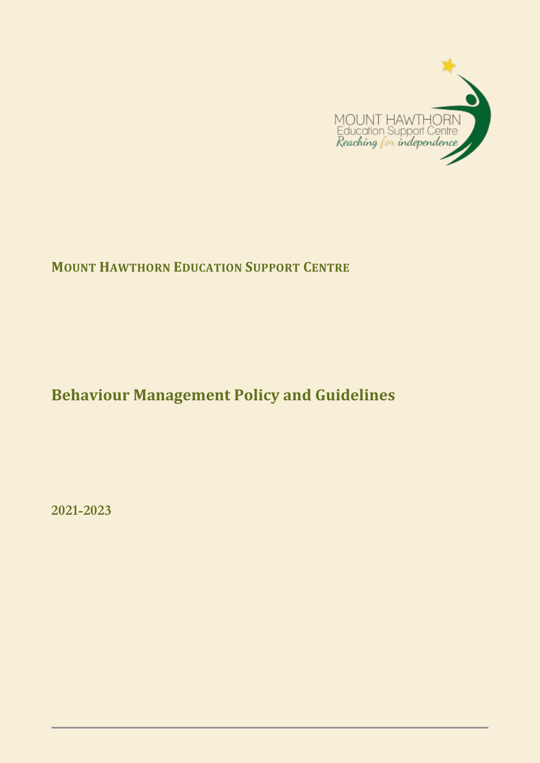

# **MOUNT HAWTHORN EDUCATION SUPPORT CENTRE**

# **Behaviour Management Policy and Guidelines**

**2021-2023**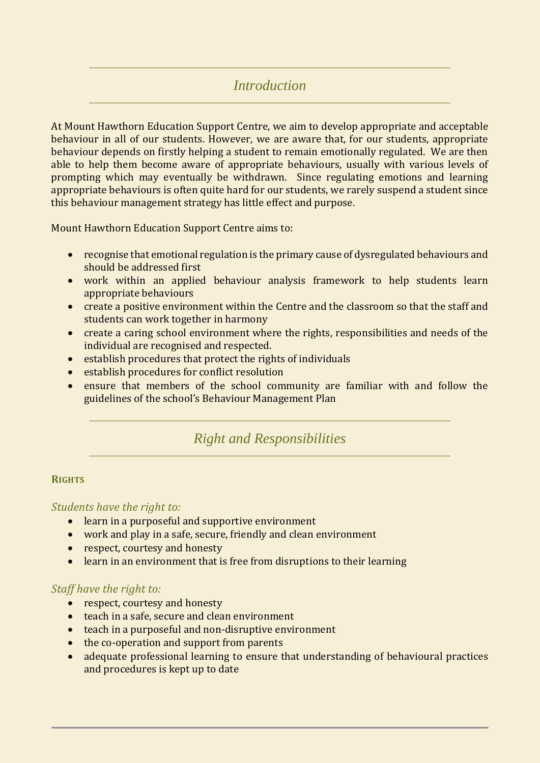# *Introduction*

At Mount Hawthorn Education Support Centre, we aim to develop appropriate and acceptable behaviour in all of our students. However, we are aware that, for our students, appropriate behaviour depends on firstly helping a student to remain emotionally regulated. We are then able to help them become aware of appropriate behaviours, usually with various levels of prompting which may eventually be withdrawn. Since regulating emotions and learning appropriate behaviours is often quite hard for our students, we rarely suspend a student since this behaviour management strategy has little effect and purpose.

Mount Hawthorn Education Support Centre aims to:

- recognise that emotional regulation is the primary cause of dysregulated behaviours and should be addressed first
- work within an applied behaviour analysis framework to help students learn appropriate behaviours
- create a positive environment within the Centre and the classroom so that the staff and students can work together in harmony
- create a caring school environment where the rights, responsibilities and needs of the individual are recognised and respected.
- establish procedures that protect the rights of individuals
- establish procedures for conflict resolution
- ensure that members of the school community are familiar with and follow the guidelines of the school's Behaviour Management Plan

# *Right and Responsibilities*

#### **RIGHTS**

#### *Students have the right to:*

- learn in a purposeful and supportive environment
- work and play in a safe, secure, friendly and clean environment
- respect, courtesy and honesty
- learn in an environment that is free from disruptions to their learning

### *Staff have the right to:*

- respect, courtesy and honesty
- teach in a safe, secure and clean environment
- teach in a purposeful and non-disruptive environment
- the co-operation and support from parents
- adequate professional learning to ensure that understanding of behavioural practices and procedures is kept up to date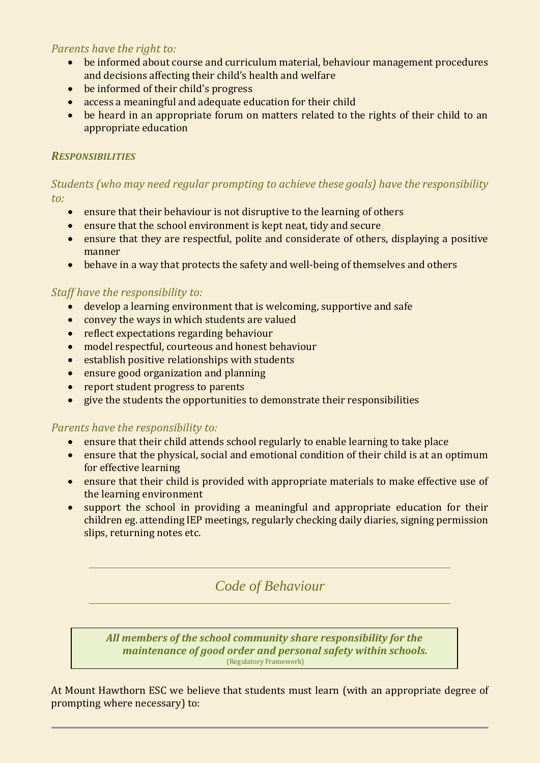# *Parents have the right to:*

- be informed about course and curriculum material, behaviour management procedures and decisions affecting their child's health and welfare
- be informed of their child's progress
- access a meaningful and adequate education for their child
- be heard in an appropriate forum on matters related to the rights of their child to an appropriate education

# *RESPONSIBILITIES*

*Students (who may need regular prompting to achieve these goals) have the responsibility to:*

- ensure that their behaviour is not disruptive to the learning of others
- ensure that the school environment is kept neat, tidy and secure
- ensure that they are respectful, polite and considerate of others, displaying a positive manner
- behave in a way that protects the safety and well-being of themselves and others

# *Staff have the responsibility to:*

- develop a learning environment that is welcoming, supportive and safe
- convey the ways in which students are valued
- reflect expectations regarding behaviour
- model respectful, courteous and honest behaviour
- establish positive relationships with students
- ensure good organization and planning
- report student progress to parents
- give the students the opportunities to demonstrate their responsibilities

### *Parents have the responsibility to:*

- ensure that their child attends school regularly to enable learning to take place
- ensure that the physical, social and emotional condition of their child is at an optimum for effective learning
- ensure that their child is provided with appropriate materials to make effective use of the learning environment
- support the school in providing a meaningful and appropriate education for their children eg. attending IEP meetings, regularly checking daily diaries, signing permission slips, returning notes etc.

*Code of Behaviour*

*All members of the school community share responsibility for the maintenance of good order and personal safety within schools.* (Regulatory Framework)

At Mount Hawthorn ESC we believe that students must learn (with an appropriate degree of prompting where necessary) to: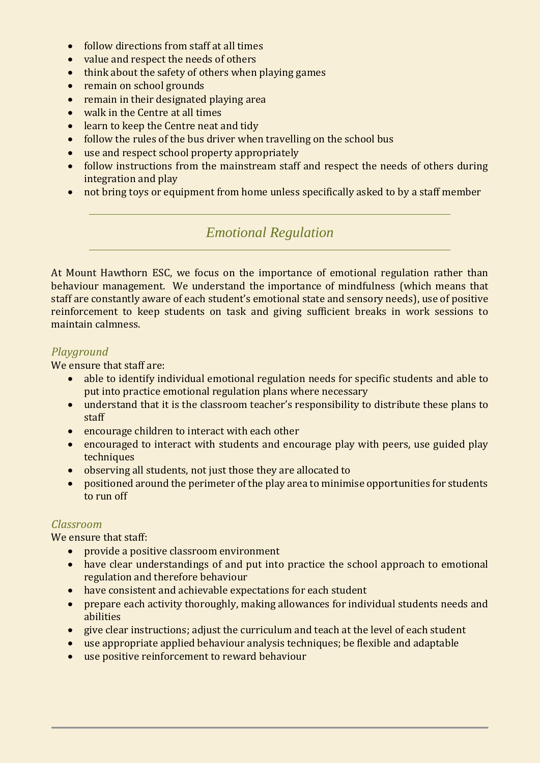- follow directions from staff at all times
- value and respect the needs of others
- think about the safety of others when playing games
- remain on school grounds
- remain in their designated playing area
- walk in the Centre at all times
- learn to keep the Centre neat and tidy
- follow the rules of the bus driver when travelling on the school bus
- use and respect school property appropriately
- follow instructions from the mainstream staff and respect the needs of others during integration and play
- not bring toys or equipment from home unless specifically asked to by a staff member

# *Emotional Regulation*

At Mount Hawthorn ESC, we focus on the importance of emotional regulation rather than behaviour management. We understand the importance of mindfulness (which means that staff are constantly aware of each student's emotional state and sensory needs), use of positive reinforcement to keep students on task and giving sufficient breaks in work sessions to maintain calmness.

# *Playground*

We ensure that staff are:

- able to identify individual emotional regulation needs for specific students and able to put into practice emotional regulation plans where necessary
- understand that it is the classroom teacher's responsibility to distribute these plans to staff
- encourage children to interact with each other
- encouraged to interact with students and encourage play with peers, use guided play techniques
- observing all students, not just those they are allocated to
- positioned around the perimeter of the play area to minimise opportunities for students to run off

### *Classroom*

We ensure that staff:

- provide a positive classroom environment
- have clear understandings of and put into practice the school approach to emotional regulation and therefore behaviour
- have consistent and achievable expectations for each student
- prepare each activity thoroughly, making allowances for individual students needs and abilities
- give clear instructions; adjust the curriculum and teach at the level of each student
- use appropriate applied behaviour analysis techniques; be flexible and adaptable
- use positive reinforcement to reward behaviour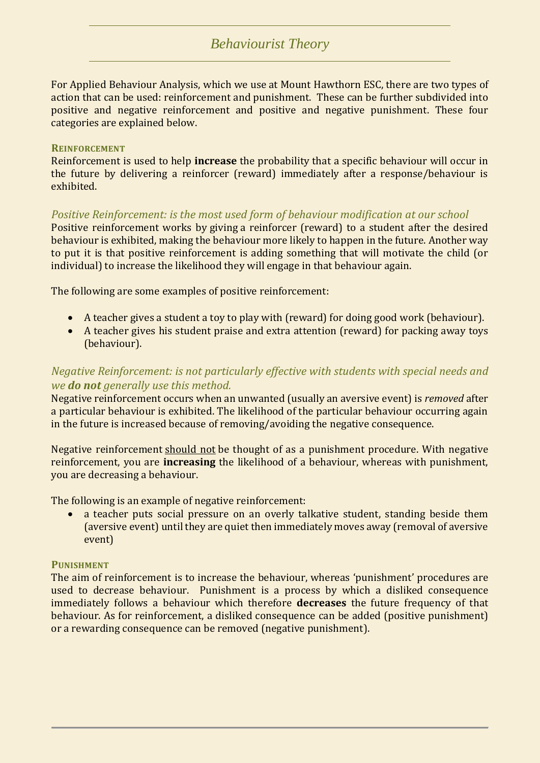# *Behaviourist Theory*

For Applied Behaviour Analysis, which we use at Mount Hawthorn ESC, there are two types of action that can be used: reinforcement and punishment. These can be further subdivided into positive and negative reinforcement and positive and negative punishment. These four categories are explained below.

#### **REINFORCEMENT**

Reinforcement is used to help **increase** the probability that a specific behaviour will occur in the future by delivering a reinforcer (reward) immediately after a response/behaviour is exhibited.

### *Positive Reinforcement: is the most used form of behaviour modification at our school*

Positive reinforcement works by giving a reinforcer (reward) to a student after the desired behaviour is exhibited, making the behaviour more likely to happen in the future. Another way to put it is that positive reinforcement is adding something that will motivate the child (or individual) to increase the likelihood they will engage in that behaviour again.

The following are some examples of positive reinforcement:

- A teacher gives a student a toy to play with (reward) for doing good work (behaviour).
- A teacher gives his student praise and extra attention (reward) for packing away toys (behaviour).

### *Negative Reinforcement: is not particularly effective with students with special needs and we do not generally use this method.*

Negative reinforcement occurs when an unwanted (usually an aversive event) is *removed* after a particular behaviour is exhibited. The likelihood of the particular behaviour occurring again in the future is increased because of removing/avoiding the negative consequence.

Negative reinforcement should not be thought of as a punishment procedure. With negative reinforcement, you are **increasing** the likelihood of a behaviour, whereas with punishment, you are decreasing a behaviour.

The following is an example of negative reinforcement:

• a teacher puts social pressure on an overly talkative student, standing beside them (aversive event) until they are quiet then immediately moves away (removal of aversive event)

#### **PUNISHMENT**

The aim of reinforcement is to increase the behaviour, whereas 'punishment' procedures are used to decrease behaviour. Punishment is a process by which a disliked consequence immediately follows a behaviour which therefore **decreases** the future frequency of that behaviour. As for reinforcement, a disliked consequence can be added (positive punishment) or a rewarding consequence can be removed (negative punishment).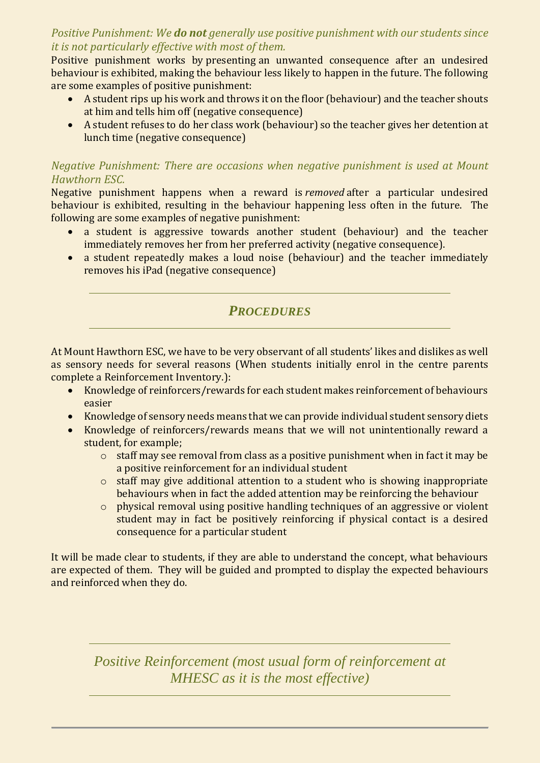# *Positive Punishment: We do not generally use positive punishment with our students since it is not particularly effective with most of them.*

Positive punishment works by presenting an unwanted consequence after an undesired behaviour is exhibited, making the behaviour less likely to happen in the future. The following are some examples of positive punishment:

- A student rips up his work and throws it on the floor (behaviour) and the teacher shouts at him and tells him off (negative consequence)
- A student refuses to do her class work (behaviour) so the teacher gives her detention at lunch time (negative consequence)

# *Negative Punishment: There are occasions when negative punishment is used at Mount Hawthorn ESC.*

Negative punishment happens when a reward is *removed* after a particular undesired behaviour is exhibited, resulting in the behaviour happening less often in the future. The following are some examples of negative punishment:

- a student is aggressive towards another student (behaviour) and the teacher immediately removes her from her preferred activity (negative consequence).
- a student repeatedly makes a loud noise (behaviour) and the teacher immediately removes his iPad (negative consequence)

# *PROCEDURES*

At Mount Hawthorn ESC, we have to be very observant of all students' likes and dislikes as well as sensory needs for several reasons (When students initially enrol in the centre parents complete a Reinforcement Inventory.):

- Knowledge of reinforcers/rewards for each student makes reinforcement of behaviours easier
- Knowledge of sensory needs means that we can provide individual student sensory diets
- Knowledge of reinforcers/rewards means that we will not unintentionally reward a student, for example;
	- o staff may see removal from class as a positive punishment when in fact it may be a positive reinforcement for an individual student
	- o staff may give additional attention to a student who is showing inappropriate behaviours when in fact the added attention may be reinforcing the behaviour
	- o physical removal using positive handling techniques of an aggressive or violent student may in fact be positively reinforcing if physical contact is a desired consequence for a particular student

It will be made clear to students, if they are able to understand the concept, what behaviours are expected of them. They will be guided and prompted to display the expected behaviours and reinforced when they do.

*Positive Reinforcement (most usual form of reinforcement at MHESC as it is the most effective)*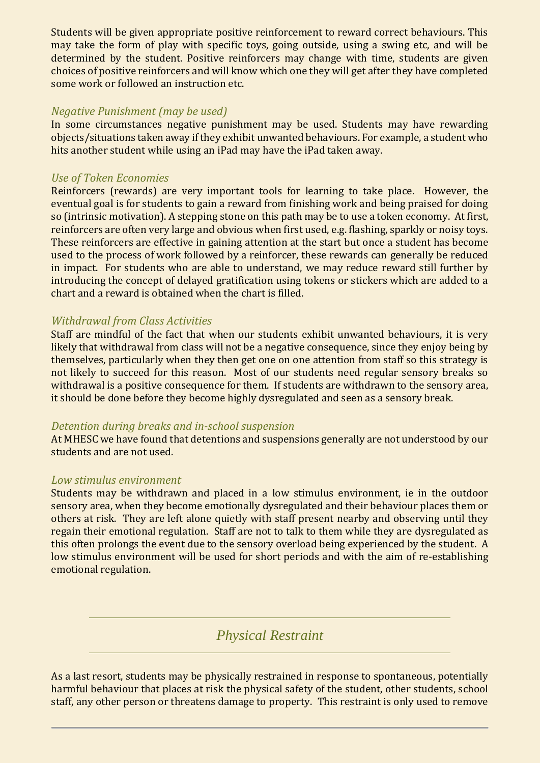Students will be given appropriate positive reinforcement to reward correct behaviours. This may take the form of play with specific toys, going outside, using a swing etc, and will be determined by the student. Positive reinforcers may change with time, students are given choices of positive reinforcers and will know which one they will get after they have completed some work or followed an instruction etc.

### *Negative Punishment (may be used)*

In some circumstances negative punishment may be used. Students may have rewarding objects/situations taken away if they exhibit unwanted behaviours. For example, a student who hits another student while using an iPad may have the iPad taken away.

### *Use of Token Economies*

Reinforcers (rewards) are very important tools for learning to take place. However, the eventual goal is for students to gain a reward from finishing work and being praised for doing so (intrinsic motivation). A stepping stone on this path may be to use a token economy. At first, reinforcers are often very large and obvious when first used, e.g. flashing, sparkly or noisy toys. These reinforcers are effective in gaining attention at the start but once a student has become used to the process of work followed by a reinforcer, these rewards can generally be reduced in impact. For students who are able to understand, we may reduce reward still further by introducing the concept of delayed gratification using tokens or stickers which are added to a chart and a reward is obtained when the chart is filled.

### *Withdrawal from Class Activities*

Staff are mindful of the fact that when our students exhibit unwanted behaviours, it is very likely that withdrawal from class will not be a negative consequence, since they enjoy being by themselves, particularly when they then get one on one attention from staff so this strategy is not likely to succeed for this reason. Most of our students need regular sensory breaks so withdrawal is a positive consequence for them. If students are withdrawn to the sensory area, it should be done before they become highly dysregulated and seen as a sensory break.

### *Detention during breaks and in-school suspension*

At MHESC we have found that detentions and suspensions generally are not understood by our students and are not used.

### *Low stimulus environment*

Students may be withdrawn and placed in a low stimulus environment, ie in the outdoor sensory area, when they become emotionally dysregulated and their behaviour places them or others at risk. They are left alone quietly with staff present nearby and observing until they regain their emotional regulation. Staff are not to talk to them while they are dysregulated as this often prolongs the event due to the sensory overload being experienced by the student. A low stimulus environment will be used for short periods and with the aim of re-establishing emotional regulation.

# *Physical Restraint*

As a last resort, students may be physically restrained in response to spontaneous, potentially harmful behaviour that places at risk the physical safety of the student, other students, school staff, any other person or threatens damage to property. This restraint is only used to remove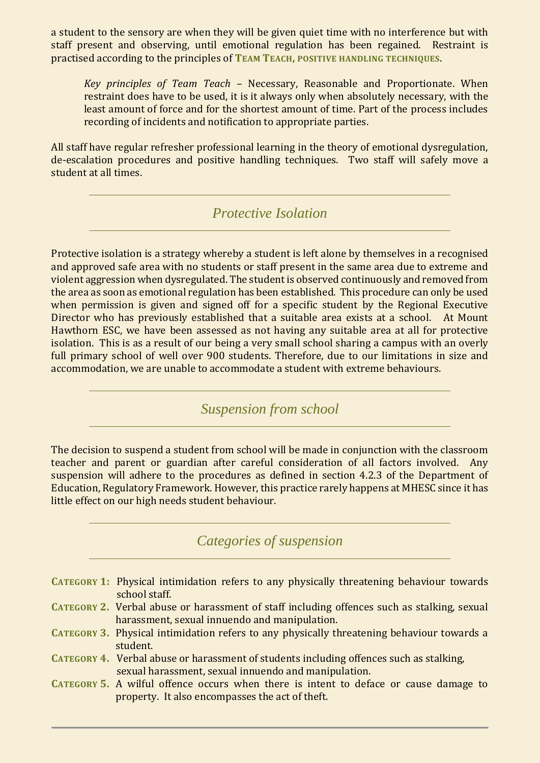a student to the sensory are when they will be given quiet time with no interference but with staff present and observing, until emotional regulation has been regained. Restraint is practised according to the principles of **TEAM TEACH, POSITIVE HANDLING TECHNIQUES**.

*Key principles of Team Teach* – Necessary, Reasonable and Proportionate. When restraint does have to be used, it is it always only when absolutely necessary, with the least amount of force and for the shortest amount of time. Part of the process includes recording of incidents and notification to appropriate parties.

All staff have regular refresher professional learning in the theory of emotional dysregulation, de-escalation procedures and positive handling techniques. Two staff will safely move a student at all times.

*Protective Isolation*

Protective isolation is a strategy whereby a student is left alone by themselves in a recognised and approved safe area with no students or staff present in the same area due to extreme and violent aggression when dysregulated. The student is observed continuously and removed from the area as soon as emotional regulation has been established. This procedure can only be used when permission is given and signed off for a specific student by the Regional Executive Director who has previously established that a suitable area exists at a school. At Mount Hawthorn ESC, we have been assessed as not having any suitable area at all for protective isolation. This is as a result of our being a very small school sharing a campus with an overly full primary school of well over 900 students. Therefore, due to our limitations in size and accommodation, we are unable to accommodate a student with extreme behaviours.

*Suspension from school*

The decision to suspend a student from school will be made in conjunction with the classroom teacher and parent or guardian after careful consideration of all factors involved. Any suspension will adhere to the procedures as defined in section 4.2.3 of the Department of Education, Regulatory Framework. However, this practice rarely happens at MHESC since it has little effect on our high needs student behaviour.

*Categories of suspension*

- **CATEGORY 1:** Physical intimidation refers to any physically threatening behaviour towards school staff.
- **CATEGORY 2.** Verbal abuse or harassment of staff including offences such as stalking, sexual harassment, sexual innuendo and manipulation.
- **CATEGORY 3.** Physical intimidation refers to any physically threatening behaviour towards a student.
- **CATEGORY 4.** Verbal abuse or harassment of students including offences such as stalking, sexual harassment, sexual innuendo and manipulation.
- **CATEGORY 5.** A wilful offence occurs when there is intent to deface or cause damage to property. It also encompasses the act of theft.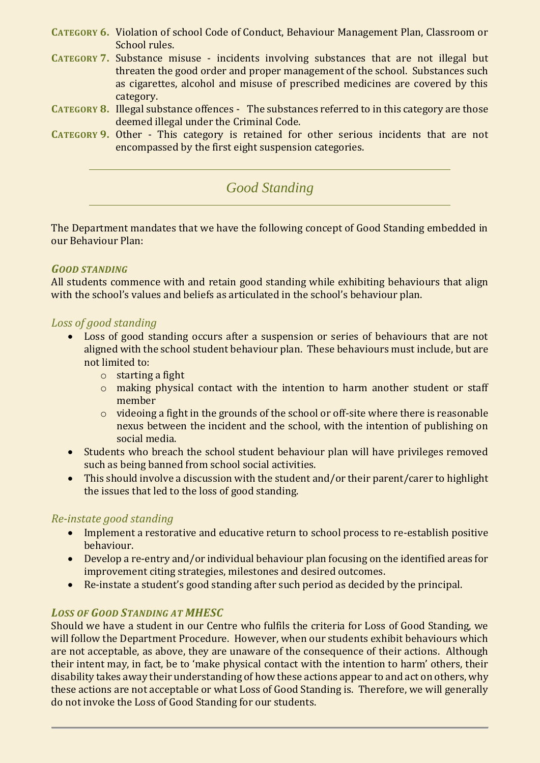- **CATEGORY 6.** Violation of school Code of Conduct, Behaviour Management Plan, Classroom or School rules.
- **CATEGORY 7.** Substance misuse incidents involving substances that are not illegal but threaten the good order and proper management of the school. Substances such as cigarettes, alcohol and misuse of prescribed medicines are covered by this category.
- **CATEGORY 8.** Illegal substance offences The substances referred to in this category are those deemed illegal under the Criminal Code.
- **CATEGORY 9.** Other This category is retained for other serious incidents that are not encompassed by the first eight suspension categories.

*Good Standing*

The Department mandates that we have the following concept of Good Standing embedded in our Behaviour Plan:

### *GOOD STANDING*

All students commence with and retain good standing while exhibiting behaviours that align with the school's values and beliefs as articulated in the school's behaviour plan.

### *Loss of good standing*

- Loss of good standing occurs after a suspension or series of behaviours that are not aligned with the school student behaviour plan. These behaviours must include, but are not limited to:
	- o starting a fight
	- o making physical contact with the intention to harm another student or staff member
	- $\circ$  videoing a fight in the grounds of the school or off-site where there is reasonable nexus between the incident and the school, with the intention of publishing on social media.
- Students who breach the school student behaviour plan will have privileges removed such as being banned from school social activities.
- This should involve a discussion with the student and/or their parent/carer to highlight the issues that led to the loss of good standing.

### *Re-instate good standing*

- Implement a restorative and educative return to school process to re-establish positive behaviour.
- Develop a re-entry and/or individual behaviour plan focusing on the identified areas for improvement citing strategies, milestones and desired outcomes.
- Re-instate a student's good standing after such period as decided by the principal.

### *LOSS OF GOOD STANDING AT MHESC*

Should we have a student in our Centre who fulfils the criteria for Loss of Good Standing, we will follow the Department Procedure. However, when our students exhibit behaviours which are not acceptable, as above, they are unaware of the consequence of their actions. Although their intent may, in fact, be to 'make physical contact with the intention to harm' others, their disability takes away their understanding of how these actions appear to and act on others, why these actions are not acceptable or what Loss of Good Standing is. Therefore, we will generally do not invoke the Loss of Good Standing for our students.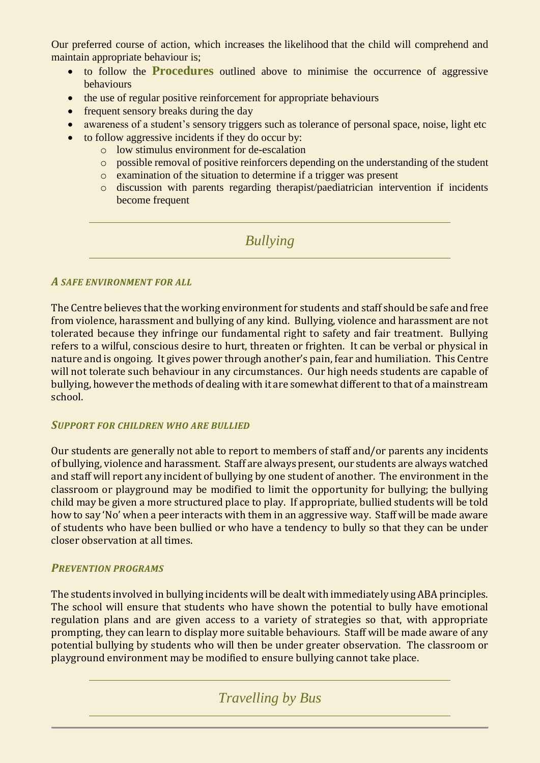Our preferred course of action, which increases the likelihood that the child will comprehend and maintain appropriate behaviour is;

- to follow the **Procedures** outlined above to minimise the occurrence of aggressive behaviours
- the use of regular positive reinforcement for appropriate behaviours
- frequent sensory breaks during the day
- awareness of a student's sensory triggers such as tolerance of personal space, noise, light etc
- to follow aggressive incidents if they do occur by:
	- o low stimulus environment for de-escalation
		- o possible removal of positive reinforcers depending on the understanding of the student
		- o examination of the situation to determine if a trigger was present
		- o discussion with parents regarding therapist/paediatrician intervention if incidents become frequent

*Bullying*

### *A SAFE ENVIRONMENT FOR ALL*

The Centre believes that the working environment for students and staff should be safe and free from violence, harassment and bullying of any kind. Bullying, violence and harassment are not tolerated because they infringe our fundamental right to safety and fair treatment. Bullying refers to a wilful, conscious desire to hurt, threaten or frighten. It can be verbal or physical in nature and is ongoing. It gives power through another's pain, fear and humiliation. This Centre will not tolerate such behaviour in any circumstances. Our high needs students are capable of bullying, however the methods of dealing with it are somewhat different to that of a mainstream school.

### *SUPPORT FOR CHILDREN WHO ARE BULLIED*

Our students are generally not able to report to members of staff and/or parents any incidents of bullying, violence and harassment. Staff are always present, our students are always watched and staff will report any incident of bullying by one student of another. The environment in the classroom or playground may be modified to limit the opportunity for bullying; the bullying child may be given a more structured place to play. If appropriate, bullied students will be told how to say 'No' when a peer interacts with them in an aggressive way. Staff will be made aware of students who have been bullied or who have a tendency to bully so that they can be under closer observation at all times.

### *PREVENTION PROGRAMS*

The students involved in bullying incidents will be dealt with immediately using ABA principles. The school will ensure that students who have shown the potential to bully have emotional regulation plans and are given access to a variety of strategies so that, with appropriate prompting, they can learn to display more suitable behaviours. Staff will be made aware of any potential bullying by students who will then be under greater observation. The classroom or playground environment may be modified to ensure bullying cannot take place.

# *Travelling by Bus*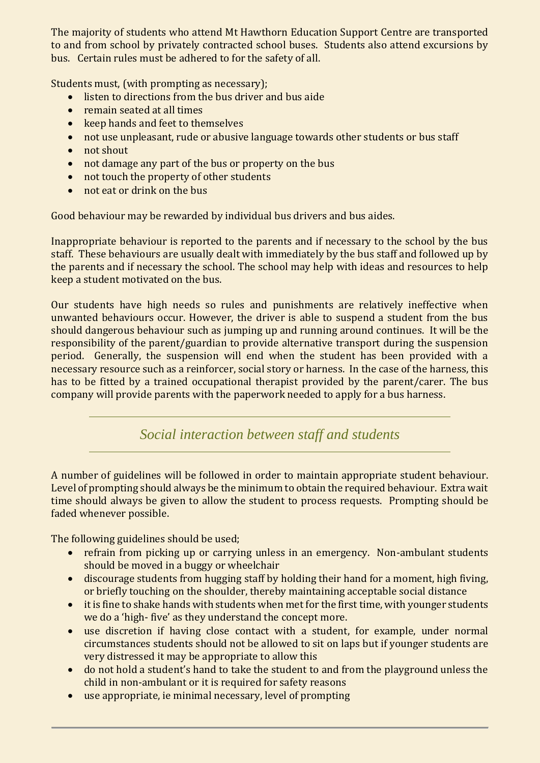The majority of students who attend Mt Hawthorn Education Support Centre are transported to and from school by privately contracted school buses. Students also attend excursions by bus. Certain rules must be adhered to for the safety of all.

Students must, (with prompting as necessary);

- listen to directions from the bus driver and bus aide
- remain seated at all times
- keep hands and feet to themselves
- not use unpleasant, rude or abusive language towards other students or bus staff
- not shout
- not damage any part of the bus or property on the bus
- not touch the property of other students
- not eat or drink on the bus

Good behaviour may be rewarded by individual bus drivers and bus aides.

Inappropriate behaviour is reported to the parents and if necessary to the school by the bus staff. These behaviours are usually dealt with immediately by the bus staff and followed up by the parents and if necessary the school. The school may help with ideas and resources to help keep a student motivated on the bus.

Our students have high needs so rules and punishments are relatively ineffective when unwanted behaviours occur. However, the driver is able to suspend a student from the bus should dangerous behaviour such as jumping up and running around continues. It will be the responsibility of the parent/guardian to provide alternative transport during the suspension period. Generally, the suspension will end when the student has been provided with a necessary resource such as a reinforcer, social story or harness. In the case of the harness, this has to be fitted by a trained occupational therapist provided by the parent/carer. The bus company will provide parents with the paperwork needed to apply for a bus harness.

*Social interaction between staff and students*

A number of guidelines will be followed in order to maintain appropriate student behaviour. Level of prompting should always be the minimum to obtain the required behaviour. Extra wait time should always be given to allow the student to process requests. Prompting should be faded whenever possible.

The following guidelines should be used;

- refrain from picking up or carrying unless in an emergency. Non-ambulant students should be moved in a buggy or wheelchair
- discourage students from hugging staff by holding their hand for a moment, high fiving, or briefly touching on the shoulder, thereby maintaining acceptable social distance
- it is fine to shake hands with students when met for the first time, with younger students we do a 'high- five' as they understand the concept more.
- use discretion if having close contact with a student, for example, under normal circumstances students should not be allowed to sit on laps but if younger students are very distressed it may be appropriate to allow this
- do not hold a student's hand to take the student to and from the playground unless the child in non-ambulant or it is required for safety reasons
- use appropriate, ie minimal necessary, level of prompting